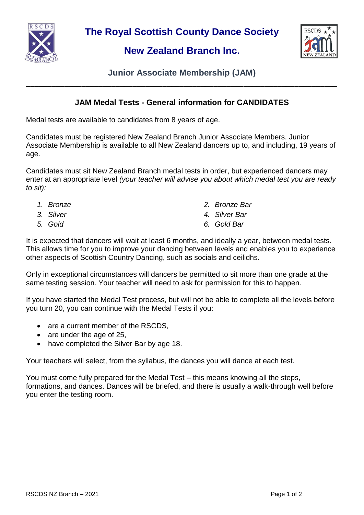

**The Royal Scottish County Dance Society**

## **New Zealand Branch Inc.**



**Junior Associate Membership (JAM) \_\_\_\_\_\_\_\_\_\_\_\_\_\_\_\_\_\_\_\_\_\_\_\_\_\_\_\_\_\_\_\_\_\_\_\_\_\_\_\_\_\_\_\_\_\_\_\_\_\_\_\_\_\_\_\_\_\_\_\_\_\_\_\_\_\_\_\_\_\_\_\_\_**

## **JAM Medal Tests - General information for CANDIDATES**

Medal tests are available to candidates from 8 years of age.

Candidates must be registered New Zealand Branch Junior Associate Members. Junior Associate Membership is available to all New Zealand dancers up to, and including, 19 years of age.

Candidates must sit New Zealand Branch medal tests in order, but experienced dancers may enter at an appropriate level *(your teacher will advise you about which medal test you are ready to sit):*

- 
- 
- 
- *1. Bronze 2. Bronze Bar*
- *3. Silver 4. Silver Bar*
- *5. Gold 6. Gold Bar*

It is expected that dancers will wait at least 6 months, and ideally a year, between medal tests. This allows time for you to improve your dancing between levels and enables you to experience other aspects of Scottish Country Dancing, such as socials and ceilidhs.

Only in exceptional circumstances will dancers be permitted to sit more than one grade at the same testing session. Your teacher will need to ask for permission for this to happen.

If you have started the Medal Test process, but will not be able to complete all the levels before you turn 20, you can continue with the Medal Tests if you:

- are a current member of the RSCDS.
- $\bullet$  are under the age of 25,
- have completed the Silver Bar by age 18.

Your teachers will select, from the syllabus, the dances you will dance at each test.

You must come fully prepared for the Medal Test – this means knowing all the steps, formations, and dances. Dances will be briefed, and there is usually a walk-through well before you enter the testing room.